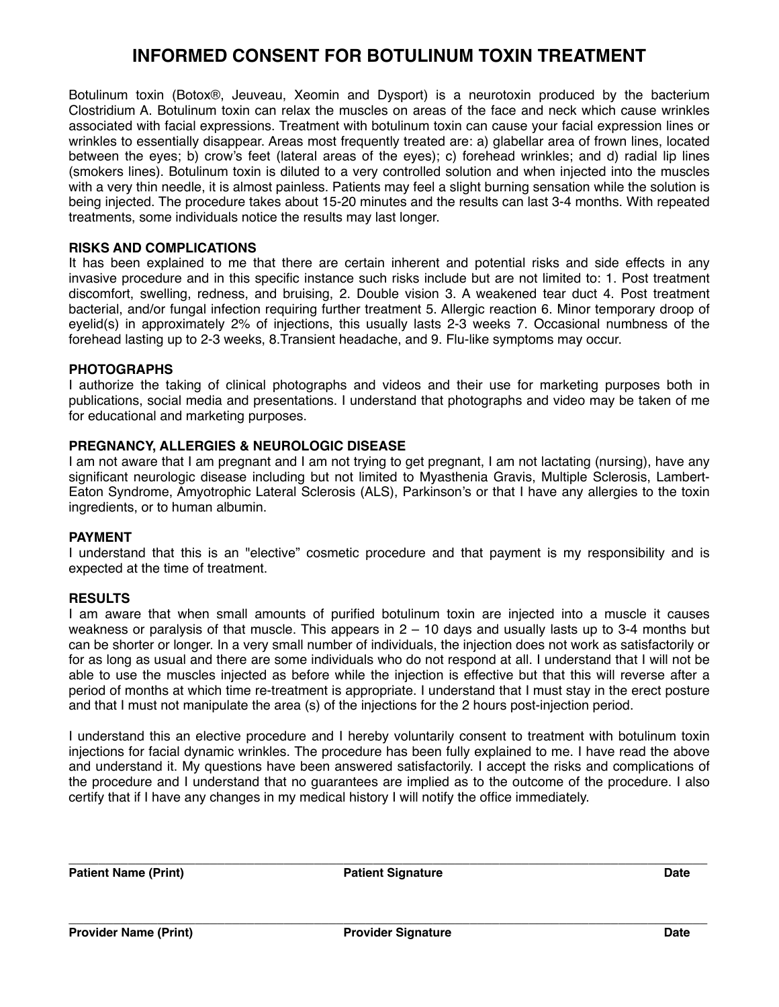# **INFORMED CONSENT FOR BOTULINUM TOXIN TREATMENT**

Botulinum toxin (Botox®, Jeuveau, Xeomin and Dysport) is a neurotoxin produced by the bacterium Clostridium A. Botulinum toxin can relax the muscles on areas of the face and neck which cause wrinkles associated with facial expressions. Treatment with botulinum toxin can cause your facial expression lines or wrinkles to essentially disappear. Areas most frequently treated are: a) glabellar area of frown lines, located between the eyes; b) crow's feet (lateral areas of the eyes); c) forehead wrinkles; and d) radial lip lines (smokers lines). Botulinum toxin is diluted to a very controlled solution and when injected into the muscles with a very thin needle, it is almost painless. Patients may feel a slight burning sensation while the solution is being injected. The procedure takes about 15-20 minutes and the results can last 3-4 months. With repeated treatments, some individuals notice the results may last longer.

## **RISKS AND COMPLICATIONS**

It has been explained to me that there are certain inherent and potential risks and side effects in any invasive procedure and in this specific instance such risks include but are not limited to: 1. Post treatment discomfort, swelling, redness, and bruising, 2. Double vision 3. A weakened tear duct 4. Post treatment bacterial, and/or fungal infection requiring further treatment 5. Allergic reaction 6. Minor temporary droop of eyelid(s) in approximately 2% of injections, this usually lasts 2-3 weeks 7. Occasional numbness of the forehead lasting up to 2-3 weeks, 8.Transient headache, and 9. Flu-like symptoms may occur.

## **PHOTOGRAPHS**

I authorize the taking of clinical photographs and videos and their use for marketing purposes both in publications, social media and presentations. I understand that photographs and video may be taken of me for educational and marketing purposes.

#### **PREGNANCY, ALLERGIES & NEUROLOGIC DISEASE**

I am not aware that I am pregnant and I am not trying to get pregnant, I am not lactating (nursing), have any significant neurologic disease including but not limited to Myasthenia Gravis, Multiple Sclerosis, Lambert-Eaton Syndrome, Amyotrophic Lateral Sclerosis (ALS), Parkinson's or that I have any allergies to the toxin ingredients, or to human albumin.

#### **PAYMENT**

I understand that this is an "elective" cosmetic procedure and that payment is my responsibility and is expected at the time of treatment.

#### **RESULTS**

I am aware that when small amounts of purified botulinum toxin are injected into a muscle it causes weakness or paralysis of that muscle. This appears in 2 – 10 days and usually lasts up to 3-4 months but can be shorter or longer. In a very small number of individuals, the injection does not work as satisfactorily or for as long as usual and there are some individuals who do not respond at all. I understand that I will not be able to use the muscles injected as before while the injection is effective but that this will reverse after a period of months at which time re-treatment is appropriate. I understand that I must stay in the erect posture and that I must not manipulate the area (s) of the injections for the 2 hours post-injection period.

I understand this an elective procedure and I hereby voluntarily consent to treatment with botulinum toxin injections for facial dynamic wrinkles. The procedure has been fully explained to me. I have read the above and understand it. My questions have been answered satisfactorily. I accept the risks and complications of the procedure and I understand that no guarantees are implied as to the outcome of the procedure. I also certify that if I have any changes in my medical history I will notify the office immediately.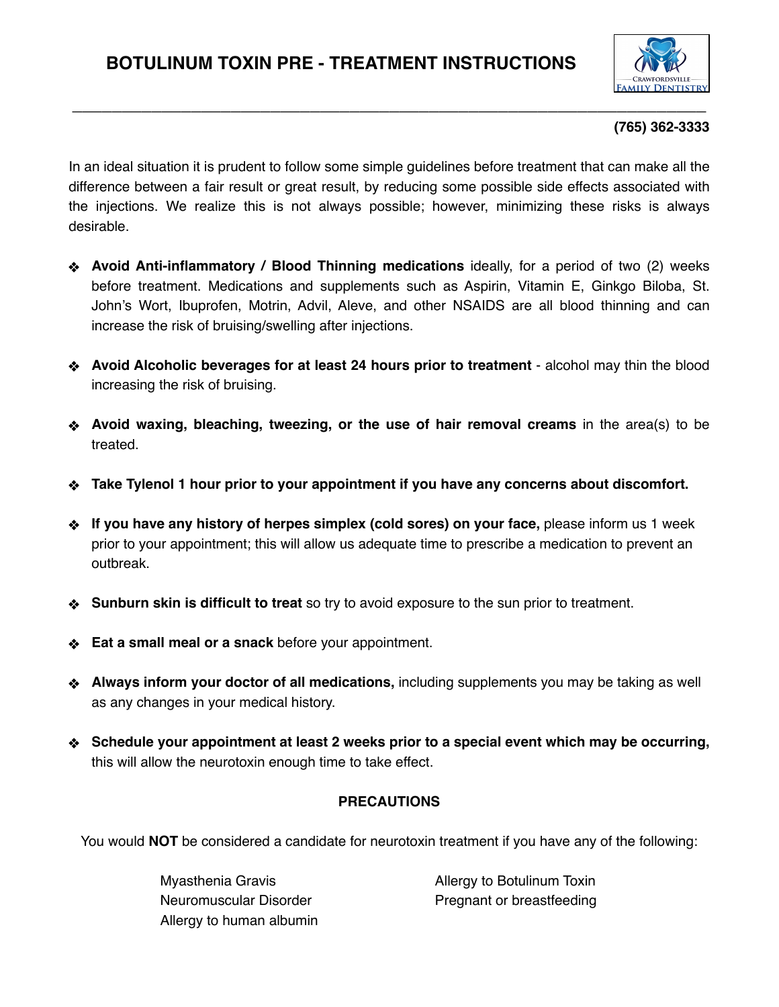

# **(765) 362-3333**

In an ideal situation it is prudent to follow some simple guidelines before treatment that can make all the difference between a fair result or great result, by reducing some possible side effects associated with the injections. We realize this is not always possible; however, minimizing these risks is always desirable.

**\_\_\_\_\_\_\_\_\_\_\_\_\_\_\_\_\_\_\_\_\_\_\_\_\_\_\_\_\_\_\_\_\_\_\_\_\_\_\_\_\_\_\_\_\_\_\_\_\_\_\_\_\_\_\_\_\_\_\_\_\_\_\_\_**

- **Avoid Anti-inflammatory / Blood Thinning medications** ideally, for a period of two (2) weeks before treatment. Medications and supplements such as Aspirin, Vitamin E, Ginkgo Biloba, St. John's Wort, Ibuprofen, Motrin, Advil, Aleve, and other NSAIDS are all blood thinning and can increase the risk of bruising/swelling after injections.
- **Avoid Alcoholic beverages for at least 24 hours prior to treatment**  alcohol may thin the blood increasing the risk of bruising.
- **Avoid waxing, bleaching, tweezing, or the use of hair removal creams** in the area(s) to be treated.
- **Take Tylenol 1 hour prior to your appointment if you have any concerns about discomfort.**
- **If you have any history of herpes simplex (cold sores) on your face,** please inform us 1 week prior to your appointment; this will allow us adequate time to prescribe a medication to prevent an outbreak.
- **Sunburn skin is difficult to treat** so try to avoid exposure to the sun prior to treatment.
- **Eat a small meal or a snack** before your appointment.
- **Always inform your doctor of all medications,** including supplements you may be taking as well as any changes in your medical history.
- **Schedule your appointment at least 2 weeks prior to a special event which may be occurring,** this will allow the neurotoxin enough time to take effect.

# **PRECAUTIONS**

You would **NOT** be considered a candidate for neurotoxin treatment if you have any of the following:

Allergy to human albumin

Myasthenia Gravis **Allergy to Botulinum Toxin** Neuromuscular Disorder **Neuromuscular Disorder** Pregnant or breastfeeding